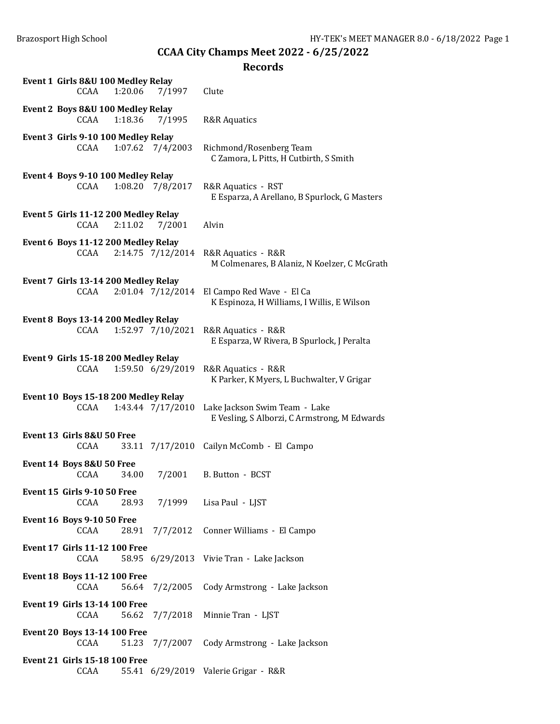| Event 1 Girls 8&U 100 Medley Relay<br>CCAA<br>1:20.06<br>7/1997      | Clute                                                                         |
|----------------------------------------------------------------------|-------------------------------------------------------------------------------|
| Event 2 Boys 8&U 100 Medley Relay<br>CCAA<br>1:18.36<br>7/1995       | <b>R&amp;R</b> Aquatics                                                       |
| Event 3 Girls 9-10 100 Medley Relay<br>1:07.62 7/4/2003<br>CCAA      | Richmond/Rosenberg Team<br>C Zamora, L Pitts, H Cutbirth, S Smith             |
| Event 4 Boys 9-10 100 Medley Relay<br>CCAA<br>1:08.20 7/8/2017       | R&R Aquatics - RST<br>E Esparza, A Arellano, B Spurlock, G Masters            |
| Event 5 Girls 11-12 200 Medley Relay<br>CCAA<br>2:11.02<br>7/2001    | Alvin                                                                         |
| Event 6 Boys 11-12 200 Medley Relay<br>CCAA<br>2:14.75 7/12/2014     | R&R Aquatics - R&R<br>M Colmenares, B Alaniz, N Koelzer, C McGrath            |
| Event 7 Girls 13-14 200 Medley Relay<br>2:01.04 7/12/2014<br>CCAA    | El Campo Red Wave - El Ca<br>K Espinoza, H Williams, I Willis, E Wilson       |
| Event 8 Boys 13-14 200 Medley Relay<br>1:52.97 7/10/2021<br>CCAA     | R&R Aquatics - R&R<br>E Esparza, W Rivera, B Spurlock, J Peralta              |
| Event 9 Girls 15-18 200 Medley Relay<br>1:59.50 6/29/2019<br>CCAA    | R&R Aquatics - R&R<br>K Parker, K Myers, L Buchwalter, V Grigar               |
| Event 10 Boys 15-18 200 Medley Relay<br>1:43.44 7/17/2010<br>CCAA    | Lake Jackson Swim Team - Lake<br>E Vesling, S Alborzi, C Armstrong, M Edwards |
| Event 13 Girls 8&U 50 Free<br>CCAA                                   | 33.11 7/17/2010 Cailyn McComb - El Campo                                      |
| Event 14 Boys 8&U 50 Free<br>CCAA<br>34.00<br>7/2001                 | B. Button - BCST                                                              |
| <b>Event 15 Girls 9-10 50 Free</b><br>CCAA<br>28.93                  | 7/1999 Lisa Paul - LJST                                                       |
| <b>Event 16 Boys 9-10 50 Free</b><br>CCAA<br>28.91 7/7/2012          | Conner Williams - El Campo                                                    |
| <b>Event 17 Girls 11-12 100 Free</b><br>CCAA                         | 58.95 6/29/2013 Vivie Tran - Lake Jackson                                     |
| <b>Event 18 Boys 11-12 100 Free</b><br><b>CCAA</b><br>56.64 7/2/2005 | Cody Armstrong - Lake Jackson                                                 |
| <b>Event 19 Girls 13-14 100 Free</b><br>CCAA<br>56.62<br>7/7/2018    | Minnie Tran - LJST                                                            |
| <b>Event 20 Boys 13-14 100 Free</b><br>CCAA<br>7/7/2007<br>51.23     | Cody Armstrong - Lake Jackson                                                 |
| <b>Event 21 Girls 15-18 100 Free</b><br>CCAA                         | 55.41 6/29/2019 Valerie Grigar - R&R                                          |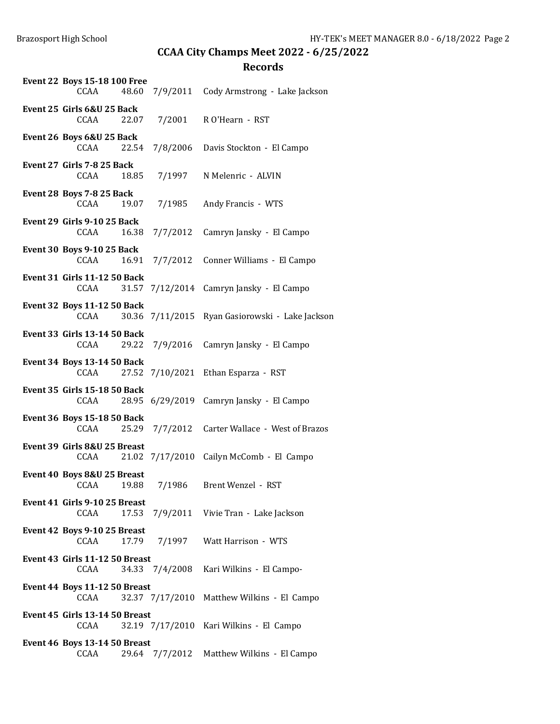| <b>Event 22 Boys 15-18 100 Free</b><br>CCAA<br>48.60 | 7/9/2011        | Cody Armstrong - Lake Jackson            |
|------------------------------------------------------|-----------------|------------------------------------------|
| Event 25 Girls 6&U 25 Back<br>CCAA<br>22.07          | 7/2001          | R O'Hearn - RST                          |
| Event 26 Boys 6&U 25 Back<br>CCAA<br>22.54           | 7/8/2006        | Davis Stockton - El Campo                |
| Event 27 Girls 7-8 25 Back<br>CCAA<br>18.85          | 7/1997          | N Melenric - ALVIN                       |
| Event 28 Boys 7-8 25 Back<br>CCAA<br>19.07           | 7/1985          | Andy Francis - WTS                       |
| Event 29 Girls 9-10 25 Back<br>CCAA<br>16.38         | 7/7/2012        | Camryn Jansky - El Campo                 |
| <b>Event 30 Boys 9-10 25 Back</b><br>CCAA<br>16.91   | 7/7/2012        | Conner Williams - El Campo               |
| <b>Event 31 Girls 11-12 50 Back</b><br>31.57<br>CCAA | 7/12/2014       | Camryn Jansky - El Campo                 |
| <b>Event 32 Boys 11-12 50 Back</b><br>CCAA<br>30.36  | 7/11/2015       | Ryan Gasiorowski - Lake Jackson          |
| <b>Event 33 Girls 13-14 50 Back</b><br>CCAA<br>29.22 | 7/9/2016        | Camryn Jansky - El Campo                 |
| <b>Event 34 Boys 13-14 50 Back</b><br>CCAA           | 27.52 7/10/2021 | Ethan Esparza - RST                      |
| <b>Event 35 Girls 15-18 50 Back</b><br>CCAA          |                 | 28.95 6/29/2019 Camryn Jansky - El Campo |
| Event 36 Boys 15-18 50 Back<br>CCAA<br>25.29         | 7/7/2012        | Carter Wallace - West of Brazos          |
| Event 39 Girls 8&U 25 Breast<br>CCAA                 | 21.02 7/17/2010 | Cailyn McComb - El Campo                 |
| Event 40 Boys 8&U 25 Breast<br>CCAA 19.88            | 7/1986          | Brent Wenzel - RST                       |
| Event 41 Girls 9-10 25 Breast<br>17.53<br>CCAA       |                 | 7/9/2011 Vivie Tran - Lake Jackson       |
| Event 42 Boys 9-10 25 Breast<br>CCAA<br>17.79        | 7/1997          | Watt Harrison - WTS                      |
| Event 43 Girls 11-12 50 Breast<br>CCAA               | 34.33 7/4/2008  | Kari Wilkins - El Campo-                 |
| Event 44 Boys 11-12 50 Breast<br>CCAA                | 32.37 7/17/2010 | Matthew Wilkins - El Campo               |
| Event 45 Girls 13-14 50 Breast<br>CCAA               | 32.19 7/17/2010 | Kari Wilkins - El Campo                  |
| Event 46 Boys 13-14 50 Breast<br>CCAA<br>29.64       | 7/7/2012        | Matthew Wilkins - El Campo               |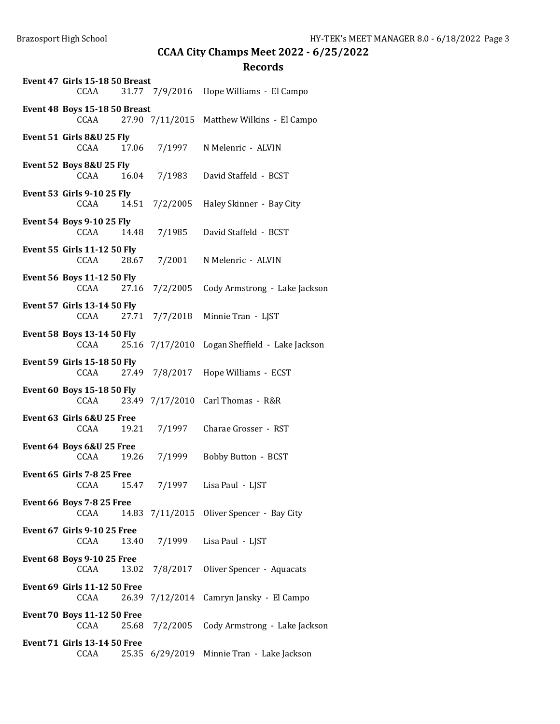| Event 47 Girls 15-18 50 Breast<br>CCAA               |                | 31.77 7/9/2016 Hope Williams - El Campo        |
|------------------------------------------------------|----------------|------------------------------------------------|
| <b>Event 48 Boys 15-18 50 Breast</b><br>CCAA         |                | 27.90 7/11/2015 Matthew Wilkins - El Campo     |
| Event 51 Girls 8&U 25 Fly<br>CCAA                    | 17.06 7/1997   | N Melenric - ALVIN                             |
| Event 52 Boys 8&U 25 Fly<br>CCAA                     | 16.04 7/1983   | David Staffeld - BCST                          |
| <b>Event 53 Girls 9-10 25 Fly</b><br>CCAA            | 14.51 7/2/2005 | Haley Skinner - Bay City                       |
| <b>Event 54 Boys 9-10 25 Fly</b><br>CCAA<br>14.48    | 7/1985         | David Staffeld - BCST                          |
| Event 55 Girls 11-12 50 Fly<br>CCAA                  | 28.67 7/2001   | N Melenric - ALVIN                             |
| Event 56 Boys 11-12 50 Fly<br>27.16<br>CCAA          | 7/2/2005       | Cody Armstrong - Lake Jackson                  |
| <b>Event 57 Girls 13-14 50 Fly</b><br>CCAA<br>27.71  | 7/7/2018       | Minnie Tran - LJST                             |
| <b>Event 58 Boys 13-14 50 Fly</b><br>CCAA            |                | 25.16 7/17/2010 Logan Sheffield - Lake Jackson |
| <b>Event 59 Girls 15-18 50 Fly</b><br>CCAA<br>27.49  | 7/8/2017       | Hope Williams - ECST                           |
| <b>Event 60 Boys 15-18 50 Fly</b><br>CCAA            |                | 23.49 7/17/2010 Carl Thomas - R&R              |
| Event 63 Girls 6&U 25 Free<br>CCAA                   | 19.21 7/1997   | Charae Grosser - RST                           |
| Event 64 Boys 6&U 25 Free<br>CCAA<br>19.26           | 7/1999         | Bobby Button - BCST                            |
| Event 65 Girls 7-8 25 Free<br>CCAA 15.47             | 7/1997         | Lisa Paul - LJST                               |
| Event 66 Boys 7-8 25 Free<br>CCAA                    |                | 14.83 7/11/2015 Oliver Spencer - Bay City      |
| <b>Event 67 Girls 9-10 25 Free</b><br>CCAA<br>13.40  | 7/1999         | Lisa Paul - LJST                               |
| <b>Event 68 Boys 9-10 25 Free</b><br>CCAA<br>13.02   | 7/8/2017       | Oliver Spencer - Aquacats                      |
| <b>Event 69 Girls 11-12 50 Free</b><br>CCAA<br>26.39 | 7/12/2014      | Camryn Jansky - El Campo                       |
| <b>Event 70 Boys 11-12 50 Free</b><br>CCAA<br>25.68  | 7/2/2005       | Cody Armstrong - Lake Jackson                  |
| <b>Event 71 Girls 13-14 50 Free</b><br>CCAA<br>25.35 | 6/29/2019      | Minnie Tran - Lake Jackson                     |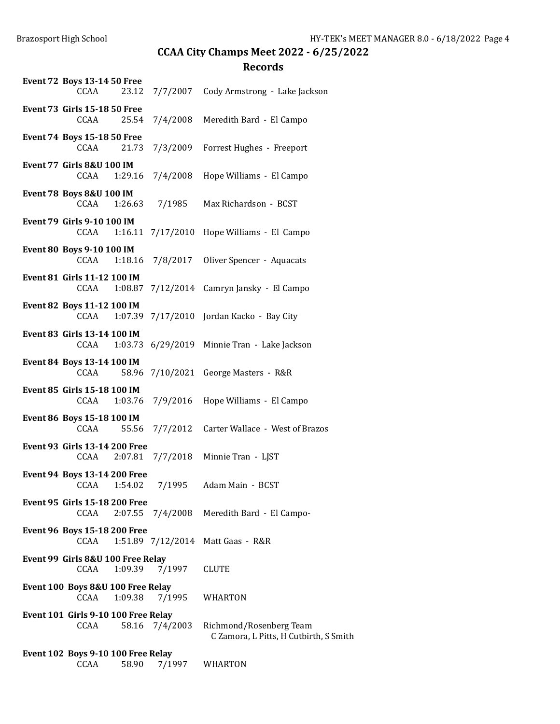| <b>Event 72 Boys 13-14 50 Free</b><br><b>CCAA</b> | 23.12        | 7/7/2007          | Cody Armstrong - Lake Jackson                                     |
|---------------------------------------------------|--------------|-------------------|-------------------------------------------------------------------|
| <b>Event 73 Girls 15-18 50 Free</b><br>CCAA       | 25.54        | 7/4/2008          | Meredith Bard - El Campo                                          |
| <b>Event 74 Boys 15-18 50 Free</b><br><b>CCAA</b> | 21.73        | 7/3/2009          | Forrest Hughes - Freeport                                         |
| <b>Event 77 Girls 8&amp;U 100 IM</b><br>CCAA      | 1:29.16      | 7/4/2008          | Hope Williams - El Campo                                          |
| Event 78 Boys 8&U 100 IM<br>CCAA                  | 1:26.63      | 7/1985            | Max Richardson - BCST                                             |
| <b>Event 79 Girls 9-10 100 IM</b><br>CCAA         |              | 1:16.11 7/17/2010 | Hope Williams - El Campo                                          |
| Event 80 Boys 9-10 100 IM<br>CCAA                 | 1:18.16      | 7/8/2017          | Oliver Spencer - Aquacats                                         |
| Event 81 Girls 11-12 100 IM<br>CCAA               | 1:08.87      | 7/12/2014         | Camryn Jansky - El Campo                                          |
| Event 82 Boys 11-12 100 IM<br>CCAA                |              | 1:07.39 7/17/2010 | Jordan Kacko - Bay City                                           |
| Event 83 Girls 13-14 100 IM<br>CCAA               |              |                   | 1:03.73 6/29/2019 Minnie Tran - Lake Jackson                      |
| Event 84 Boys 13-14 100 IM<br>CCAA                | 58.96        | 7/10/2021         | George Masters - R&R                                              |
| Event 85 Girls 15-18 100 IM<br>CCAA               | 1:03.76      | 7/9/2016          | Hope Williams - El Campo                                          |
| Event 86 Boys 15-18 100 IM<br>CCAA                | 55.56        | 7/7/2012          | Carter Wallace - West of Brazos                                   |
| <b>Event 93 Girls 13-14 200 Free</b><br>CCAA      | 2:07.81      | 7/7/2018          | Minnie Tran - LJST                                                |
| Event 94 Boys 13-14 200 Free                      | CCAA 1:54.02 | 7/1995            | Adam Main - BCST                                                  |
| <b>Event 95 Girls 15-18 200 Free</b><br>CCAA      | 2:07.55      | 7/4/2008          | Meredith Bard - El Campo-                                         |
| Event 96 Boys 15-18 200 Free<br>CCAA              |              | 1:51.89 7/12/2014 | Matt Gaas - R&R                                                   |
| Event 99 Girls 8&U 100 Free Relay<br>CCAA         | 1:09.39      | 7/1997            | <b>CLUTE</b>                                                      |
| Event 100 Boys 8&U 100 Free Relay<br>CCAA         | 1:09.38      | 7/1995            | WHARTON                                                           |
| Event 101 Girls 9-10 100 Free Relay<br>CCAA       | 58.16        | 7/4/2003          | Richmond/Rosenberg Team<br>C Zamora, L Pitts, H Cutbirth, S Smith |
| Event 102 Boys 9-10 100 Free Relay<br>CCAA        | 58.90        | 7/1997            | WHARTON                                                           |